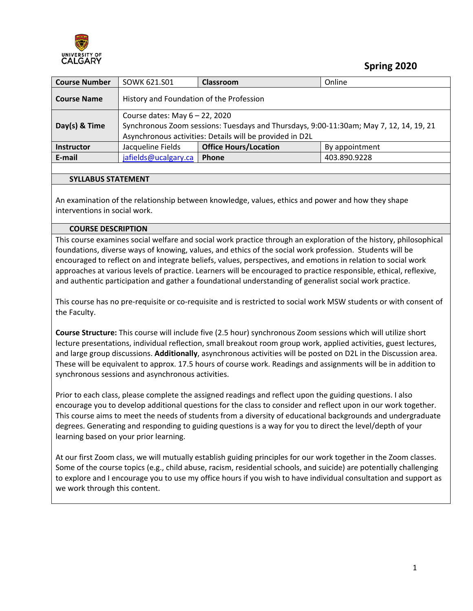

 **Spring 2020**

| <b>Course Number</b> | SOWK 621.S01                                                                                                                                                                            | Classroom                    | Online         |  |
|----------------------|-----------------------------------------------------------------------------------------------------------------------------------------------------------------------------------------|------------------------------|----------------|--|
| <b>Course Name</b>   | History and Foundation of the Profession                                                                                                                                                |                              |                |  |
| Day(s) & Time        | Course dates: May $6 - 22$ , 2020<br>Synchronous Zoom sessions: Tuesdays and Thursdays, 9:00-11:30am; May 7, 12, 14, 19, 21<br>Asynchronous activities: Details will be provided in D2L |                              |                |  |
| <b>Instructor</b>    | Jacqueline Fields                                                                                                                                                                       | <b>Office Hours/Location</b> | By appointment |  |
| E-mail               | jafields@ucalgary.ca<br>403.890.9228<br><b>Phone</b>                                                                                                                                    |                              |                |  |
|                      |                                                                                                                                                                                         |                              |                |  |

#### **SYLLABUS STATEMENT**

An examination of the relationship between knowledge, values, ethics and power and how they shape interventions in social work.

#### **COURSE DESCRIPTION**

This course examines social welfare and social work practice through an exploration of the history, philosophical foundations, diverse ways of knowing, values, and ethics of the social work profession. Students will be encouraged to reflect on and integrate beliefs, values, perspectives, and emotions in relation to social work approaches at various levels of practice. Learners will be encouraged to practice responsible, ethical, reflexive, and authentic participation and gather a foundational understanding of generalist social work practice.

This course has no pre-requisite or co-requisite and is restricted to social work MSW students or with consent of the Faculty.

**Course Structure:** This course will include five (2.5 hour) synchronous Zoom sessions which will utilize short lecture presentations, individual reflection, small breakout room group work, applied activities, guest lectures, and large group discussions. **Additionally**, asynchronous activities will be posted on D2L in the Discussion area. These will be equivalent to approx. 17.5 hours of course work. Readings and assignments will be in addition to synchronous sessions and asynchronous activities.

Prior to each class, please complete the assigned readings and reflect upon the guiding questions. I also encourage you to develop additional questions for the class to consider and reflect upon in our work together. This course aims to meet the needs of students from a diversity of educational backgrounds and undergraduate degrees. Generating and responding to guiding questions is a way for you to direct the level/depth of your learning based on your prior learning.

At our first Zoom class, we will mutually establish guiding principles for our work together in the Zoom classes. Some of the course topics (e.g., child abuse, racism, residential schools, and suicide) are potentially challenging to explore and I encourage you to use my office hours if you wish to have individual consultation and support as we work through this content.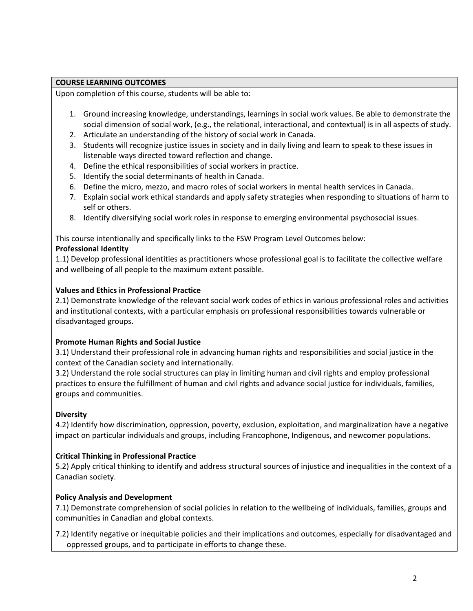#### **COURSE LEARNING OUTCOMES**

Upon completion of this course, students will be able to:

- 1. Ground increasing knowledge, understandings, learnings in social work values. Be able to demonstrate the social dimension of social work, (e.g., the relational, interactional, and contextual) is in all aspects of study.
- 2. Articulate an understanding of the history of social work in Canada.
- 3. Students will recognize justice issues in society and in daily living and learn to speak to these issues in listenable ways directed toward reflection and change.
- 4. Define the ethical responsibilities of social workers in practice.
- 5. Identify the social determinants of health in Canada.
- 6. Define the micro, mezzo, and macro roles of social workers in mental health services in Canada.
- 7. Explain social work ethical standards and apply safety strategies when responding to situations of harm to self or others.
- 8. Identify diversifying social work roles in response to emerging environmental psychosocial issues.

This course intentionally and specifically links to the FSW Program Level Outcomes below:

#### **Professional Identity**

1.1) Develop professional identities as practitioners whose professional goal is to facilitate the collective welfare and wellbeing of all people to the maximum extent possible.

#### **Values and Ethics in Professional Practice**

2.1) Demonstrate knowledge of the relevant social work codes of ethics in various professional roles and activities and institutional contexts, with a particular emphasis on professional responsibilities towards vulnerable or disadvantaged groups.

## **Promote Human Rights and Social Justice**

3.1) Understand their professional role in advancing human rights and responsibilities and social justice in the context of the Canadian society and internationally.

3.2) Understand the role social structures can play in limiting human and civil rights and employ professional practices to ensure the fulfillment of human and civil rights and advance social justice for individuals, families, groups and communities.

## **Diversity**

4.2) Identify how discrimination, oppression, poverty, exclusion, exploitation, and marginalization have a negative impact on particular individuals and groups, including Francophone, Indigenous, and newcomer populations.

## **Critical Thinking in Professional Practice**

5.2) Apply critical thinking to identify and address structural sources of injustice and inequalities in the context of a Canadian society.

#### **Policy Analysis and Development**

7.1) Demonstrate comprehension of social policies in relation to the wellbeing of individuals, families, groups and communities in Canadian and global contexts.

7.2) Identify negative or inequitable policies and their implications and outcomes, especially for disadvantaged and oppressed groups, and to participate in efforts to change these.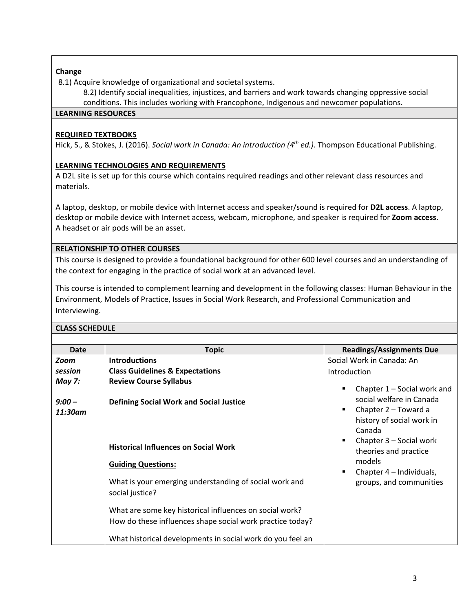## **Change**

8.1) Acquire knowledge of organizational and societal systems.

8.2) Identify social inequalities, injustices, and barriers and work towards changing oppressive social

conditions. This includes working with Francophone, Indigenous and newcomer populations.

#### **LEARNING RESOURCES**

## **REQUIRED TEXTBOOKS**

Hick, S., & Stokes, J. (2016). *Social work in Canada: An introduction (4th ed.).* Thompson Educational Publishing.

# **LEARNING TECHNOLOGIES AND REQUIREMENTS**

A D2L site is set up for this course which contains required readings and other relevant class resources and materials.

A laptop, desktop, or mobile device with Internet access and speaker/sound is required for **D2L access**. A laptop, desktop or mobile device with Internet access, webcam, microphone, and speaker is required for **Zoom access**. A headset or air pods will be an asset.

## **RELATIONSHIP TO OTHER COURSES**

This course is designed to provide a foundational background for other 600 level courses and an understanding of the context for engaging in the practice of social work at an advanced level.

This course is intended to complement learning and development in the following classes: Human Behaviour in the Environment, Models of Practice, Issues in Social Work Research, and Professional Communication and Interviewing.

## **CLASS SCHEDULE**

| <b>Date</b>              | <b>Topic</b>                                                                                                                                                                       | <b>Readings/Assignments Due</b>                                                              |
|--------------------------|------------------------------------------------------------------------------------------------------------------------------------------------------------------------------------|----------------------------------------------------------------------------------------------|
| <b>Zoom</b>              | <b>Introductions</b>                                                                                                                                                               | Social Work in Canada: An                                                                    |
| session<br><b>May 7:</b> | <b>Class Guidelines &amp; Expectations</b><br><b>Review Course Syllabus</b>                                                                                                        | Introduction<br>Chapter $1 -$ Social work and<br>п                                           |
| $9:00 -$<br>11:30am      | <b>Defining Social Work and Social Justice</b>                                                                                                                                     | social welfare in Canada<br>Chapter 2 – Toward a<br>п<br>history of social work in<br>Canada |
|                          | <b>Historical Influences on Social Work</b>                                                                                                                                        | Chapter 3 – Social work<br>$\blacksquare$<br>theories and practice                           |
|                          | <b>Guiding Questions:</b>                                                                                                                                                          | models<br>Chapter 4 - Individuals,<br>$\blacksquare$                                         |
|                          | What is your emerging understanding of social work and<br>social justice?                                                                                                          | groups, and communities                                                                      |
|                          | What are some key historical influences on social work?<br>How do these influences shape social work practice today?<br>What historical developments in social work do you feel an |                                                                                              |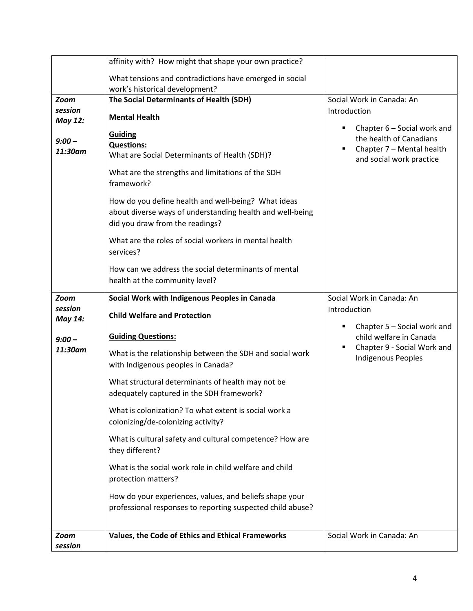|                                                                 | affinity with? How might that shape your own practice?                                                                                                                                                                                                                                                                                                                                                                                                                                                                                            |                                                                                                                                                              |
|-----------------------------------------------------------------|---------------------------------------------------------------------------------------------------------------------------------------------------------------------------------------------------------------------------------------------------------------------------------------------------------------------------------------------------------------------------------------------------------------------------------------------------------------------------------------------------------------------------------------------------|--------------------------------------------------------------------------------------------------------------------------------------------------------------|
|                                                                 | What tensions and contradictions have emerged in social<br>work's historical development?                                                                                                                                                                                                                                                                                                                                                                                                                                                         |                                                                                                                                                              |
| <b>Zoom</b><br>session<br><b>May 12:</b><br>$9:00 -$<br>11:30am | The Social Determinants of Health (SDH)<br><b>Mental Health</b><br><b>Guiding</b><br><b>Questions:</b><br>What are Social Determinants of Health (SDH)?<br>What are the strengths and limitations of the SDH<br>framework?<br>How do you define health and well-being? What ideas<br>about diverse ways of understanding health and well-being<br>did you draw from the readings?<br>What are the roles of social workers in mental health<br>services?<br>How can we address the social determinants of mental<br>health at the community level? | Social Work in Canada: An<br>Introduction<br>Chapter 6 - Social work and<br>the health of Canadians<br>Chapter 7 - Mental health<br>and social work practice |
| <b>Zoom</b><br>session                                          | Social Work with Indigenous Peoples in Canada                                                                                                                                                                                                                                                                                                                                                                                                                                                                                                     | Social Work in Canada: An<br>Introduction                                                                                                                    |
| May 14:                                                         | <b>Child Welfare and Protection</b>                                                                                                                                                                                                                                                                                                                                                                                                                                                                                                               | Chapter 5 - Social work and                                                                                                                                  |
| $9:00 -$<br>11:30am                                             | <b>Guiding Questions:</b><br>What is the relationship between the SDH and social work<br>with Indigenous peoples in Canada?                                                                                                                                                                                                                                                                                                                                                                                                                       | child welfare in Canada<br>Chapter 9 - Social Work and<br><b>Indigenous Peoples</b>                                                                          |
|                                                                 | What structural determinants of health may not be<br>adequately captured in the SDH framework?                                                                                                                                                                                                                                                                                                                                                                                                                                                    |                                                                                                                                                              |
|                                                                 | What is colonization? To what extent is social work a<br>colonizing/de-colonizing activity?                                                                                                                                                                                                                                                                                                                                                                                                                                                       |                                                                                                                                                              |
|                                                                 | What is cultural safety and cultural competence? How are<br>they different?                                                                                                                                                                                                                                                                                                                                                                                                                                                                       |                                                                                                                                                              |
|                                                                 | What is the social work role in child welfare and child<br>protection matters?                                                                                                                                                                                                                                                                                                                                                                                                                                                                    |                                                                                                                                                              |
|                                                                 | How do your experiences, values, and beliefs shape your<br>professional responses to reporting suspected child abuse?                                                                                                                                                                                                                                                                                                                                                                                                                             |                                                                                                                                                              |
| Zoom<br>session                                                 | Values, the Code of Ethics and Ethical Frameworks                                                                                                                                                                                                                                                                                                                                                                                                                                                                                                 | Social Work in Canada: An                                                                                                                                    |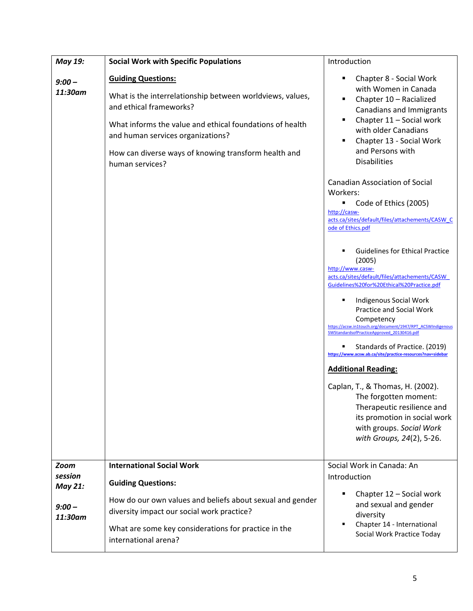| May 19:             | <b>Social Work with Specific Populations</b>                                                                                                                                                                                                                                                  | Introduction                                                                                                                                                                                                                                      |
|---------------------|-----------------------------------------------------------------------------------------------------------------------------------------------------------------------------------------------------------------------------------------------------------------------------------------------|---------------------------------------------------------------------------------------------------------------------------------------------------------------------------------------------------------------------------------------------------|
| $9:00 -$<br>11:30am | <b>Guiding Questions:</b><br>What is the interrelationship between worldviews, values,<br>and ethical frameworks?<br>What informs the value and ethical foundations of health<br>and human services organizations?<br>How can diverse ways of knowing transform health and<br>human services? | Chapter 8 - Social Work<br>with Women in Canada<br>Chapter 10 - Racialized<br><b>Canadians and Immigrants</b><br>Chapter 11 - Social work<br>with older Canadians<br>Chapter 13 - Social Work<br>and Persons with<br><b>Disabilities</b>          |
|                     |                                                                                                                                                                                                                                                                                               | <b>Canadian Association of Social</b><br>Workers:<br>Code of Ethics (2005)<br>http://casw-<br>acts.ca/sites/default/files/attachements/CASW C<br>ode of Ethics.pdf                                                                                |
|                     |                                                                                                                                                                                                                                                                                               | <b>Guidelines for Ethical Practice</b><br>(2005)<br>http://www.casw-<br>acts.ca/sites/default/files/attachements/CASW<br>Guidelines%20for%20Ethical%20Practice.pdf<br>Indigenous Social Work                                                      |
|                     |                                                                                                                                                                                                                                                                                               | Practice and Social Work<br>Competency<br>https://acsw.in1touch.org/document/1947/RPT_ACSWIndigenous<br>SWStandardsofPracticeApproved 20130416.pdf<br>Standards of Practice. (2019)<br>https://www.acsw.ab.ca/site/practice-resources?nav=sidebar |
|                     |                                                                                                                                                                                                                                                                                               | <b>Additional Reading:</b>                                                                                                                                                                                                                        |
|                     |                                                                                                                                                                                                                                                                                               | Caplan, T., & Thomas, H. (2002).<br>The forgotten moment:<br>Therapeutic resilience and<br>its promotion in social work<br>with groups. Social Work<br>with Groups, 24(2), 5-26.                                                                  |
| Zoom<br>session     | <b>International Social Work</b>                                                                                                                                                                                                                                                              | Social Work in Canada: An<br>Introduction                                                                                                                                                                                                         |
| May 21:             | <b>Guiding Questions:</b>                                                                                                                                                                                                                                                                     | Chapter 12 - Social work                                                                                                                                                                                                                          |
| $9:00 -$<br>11:30am | How do our own values and beliefs about sexual and gender<br>diversity impact our social work practice?                                                                                                                                                                                       | and sexual and gender<br>diversity<br>Chapter 14 - International                                                                                                                                                                                  |
|                     | What are some key considerations for practice in the<br>international arena?                                                                                                                                                                                                                  | Social Work Practice Today                                                                                                                                                                                                                        |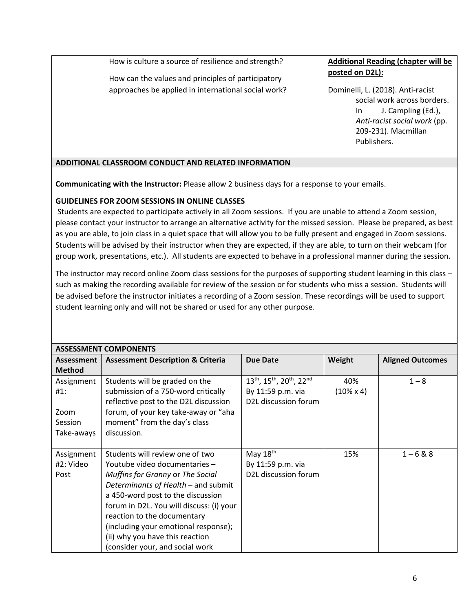How is culture a source of resilience and strength?

How can the values and principles of participatory approaches be applied in international social work? **Additional Reading (chapter will be posted on D2L):** 

Dominelli, L. (2018). Anti-racist social work across borders. In J. Campling (Ed.), *Anti-racist social work* (pp. 209-231). Macmillan Publishers.

# **ADDITIONAL CLASSROOM CONDUCT AND RELATED INFORMATION**

**Communicating with the Instructor:** Please allow 2 business days for a response to your emails.

# **GUIDELINES FOR ZOOM SESSIONS IN ONLINE CLASSES**

Students are expected to participate actively in all Zoom sessions. If you are unable to attend a Zoom session, please contact your instructor to arrange an alternative activity for the missed session. Please be prepared, as best as you are able, to join class in a quiet space that will allow you to be fully present and engaged in Zoom sessions. Students will be advised by their instructor when they are expected, if they are able, to turn on their webcam (for group work, presentations, etc.). All students are expected to behave in a professional manner during the session.

The instructor may record online Zoom class sessions for the purposes of supporting student learning in this class – such as making the recording available for review of the session or for students who miss a session. Students will be advised before the instructor initiates a recording of a Zoom session. These recordings will be used to support student learning only and will not be shared or used for any other purpose.

|               | <b>ASSESSMENT COMPONENTS</b>                 |                                   |                   |                         |
|---------------|----------------------------------------------|-----------------------------------|-------------------|-------------------------|
| Assessment    | <b>Assessment Description &amp; Criteria</b> | <b>Due Date</b>                   | Weight            | <b>Aligned Outcomes</b> |
| <b>Method</b> |                                              |                                   |                   |                         |
| Assignment    | Students will be graded on the               | 13th, 15th, 20th, 22nd            | 40%               | $1 - 8$                 |
| #1:           | submission of a 750-word critically          | By 11:59 p.m. via                 | $(10\% \times 4)$ |                         |
|               | reflective post to the D2L discussion        | D2L discussion forum              |                   |                         |
| Zoom          | forum, of your key take-away or "aha         |                                   |                   |                         |
| Session       | moment" from the day's class                 |                                   |                   |                         |
| Take-aways    | discussion.                                  |                                   |                   |                         |
|               |                                              |                                   |                   |                         |
| Assignment    | Students will review one of two              | May 18th                          | 15%               | $1 - 6 & 8$             |
| #2: Video     | Youtube video documentaries -                | By 11:59 p.m. via                 |                   |                         |
| Post          | Muffins for Granny or The Social             | D <sub>2</sub> L discussion forum |                   |                         |
|               | Determinants of Health - and submit          |                                   |                   |                         |
|               | a 450-word post to the discussion            |                                   |                   |                         |
|               | forum in D2L. You will discuss: (i) your     |                                   |                   |                         |
|               | reaction to the documentary                  |                                   |                   |                         |
|               | (including your emotional response);         |                                   |                   |                         |
|               | (ii) why you have this reaction              |                                   |                   |                         |
|               | (consider your, and social work              |                                   |                   |                         |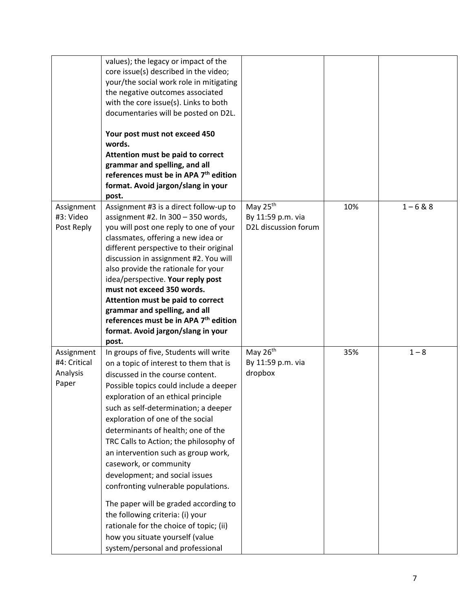|                                                 | values); the legacy or impact of the<br>core issue(s) described in the video;<br>your/the social work role in mitigating<br>the negative outcomes associated<br>with the core issue(s). Links to both<br>documentaries will be posted on D2L.<br>Your post must not exceed 450<br>words.<br>Attention must be paid to correct<br>grammar and spelling, and all<br>references must be in APA 7 <sup>th</sup> edition<br>format. Avoid jargon/slang in your<br>post.                                                                                                                                                                                                                                         |                                                                   |     |             |
|-------------------------------------------------|------------------------------------------------------------------------------------------------------------------------------------------------------------------------------------------------------------------------------------------------------------------------------------------------------------------------------------------------------------------------------------------------------------------------------------------------------------------------------------------------------------------------------------------------------------------------------------------------------------------------------------------------------------------------------------------------------------|-------------------------------------------------------------------|-----|-------------|
| Assignment<br>#3: Video<br>Post Reply           | Assignment #3 is a direct follow-up to<br>assignment #2. In $300 - 350$ words,<br>you will post one reply to one of your<br>classmates, offering a new idea or<br>different perspective to their original<br>discussion in assignment #2. You will<br>also provide the rationale for your<br>idea/perspective. Your reply post<br>must not exceed 350 words.<br>Attention must be paid to correct<br>grammar and spelling, and all<br>references must be in APA 7 <sup>th</sup> edition<br>format. Avoid jargon/slang in your<br>post.                                                                                                                                                                     | May 25 <sup>th</sup><br>By 11:59 p.m. via<br>D2L discussion forum | 10% | $1 - 6 & 8$ |
| Assignment<br>#4: Critical<br>Analysis<br>Paper | In groups of five, Students will write<br>on a topic of interest to them that is<br>discussed in the course content.<br>Possible topics could include a deeper<br>exploration of an ethical principle<br>such as self-determination; a deeper<br>exploration of one of the social<br>determinants of health; one of the<br>TRC Calls to Action; the philosophy of<br>an intervention such as group work,<br>casework, or community<br>development; and social issues<br>confronting vulnerable populations.<br>The paper will be graded according to<br>the following criteria: (i) your<br>rationale for the choice of topic; (ii)<br>how you situate yourself (value<br>system/personal and professional | May $26th$<br>By 11:59 p.m. via<br>dropbox                        | 35% | $1 - 8$     |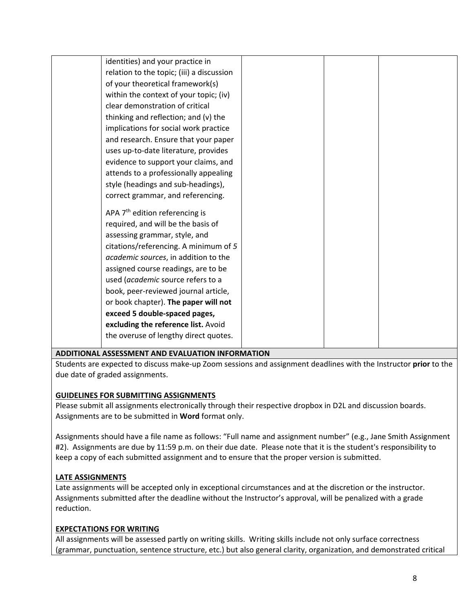| identities) and your practice in           |  |
|--------------------------------------------|--|
| relation to the topic; (iii) a discussion  |  |
| of your theoretical framework(s)           |  |
| within the context of your topic; (iv)     |  |
| clear demonstration of critical            |  |
| thinking and reflection; and (v) the       |  |
| implications for social work practice      |  |
| and research. Ensure that your paper       |  |
| uses up-to-date literature, provides       |  |
| evidence to support your claims, and       |  |
| attends to a professionally appealing      |  |
| style (headings and sub-headings),         |  |
| correct grammar, and referencing.          |  |
| APA 7 <sup>th</sup> edition referencing is |  |
| required, and will be the basis of         |  |
| assessing grammar, style, and              |  |
| citations/referencing. A minimum of 5      |  |
| academic sources, in addition to the       |  |
| assigned course readings, are to be        |  |
| used (academic source refers to a          |  |
| book, peer-reviewed journal article,       |  |
| or book chapter). The paper will not       |  |
| exceed 5 double-spaced pages,              |  |
| excluding the reference list. Avoid        |  |
| the overuse of lengthy direct quotes.      |  |
|                                            |  |

## **ADDITIONAL ASSESSMENT AND EVALUATION INFORMATION**

Students are expected to discuss make-up Zoom sessions and assignment deadlines with the Instructor **prior** to the due date of graded assignments.

## **GUIDELINES FOR SUBMITTING ASSIGNMENTS**

Please submit all assignments electronically through their respective dropbox in D2L and discussion boards. Assignments are to be submitted in **Word** format only.

Assignments should have a file name as follows: "Full name and assignment number" (e.g., Jane Smith Assignment #2). Assignments are due by 11:59 p.m. on their due date. Please note that it is the student's responsibility to keep a copy of each submitted assignment and to ensure that the proper version is submitted.

## **LATE ASSIGNMENTS**

Late assignments will be accepted only in exceptional circumstances and at the discretion or the instructor. Assignments submitted after the deadline without the Instructor's approval, will be penalized with a grade reduction.

## **EXPECTATIONS FOR WRITING**

All assignments will be assessed partly on writing skills. Writing skills include not only surface correctness (grammar, punctuation, sentence structure, etc.) but also general clarity, organization, and demonstrated critical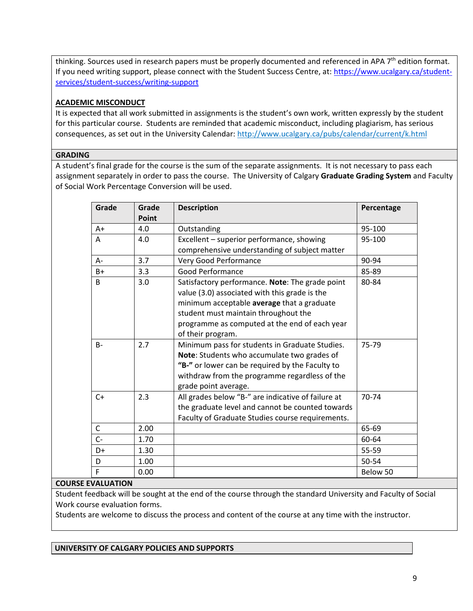thinking. Sources used in research papers must be properly documented and referenced in APA 7<sup>th</sup> edition format. If you need writing support, please connect with the Student Success Centre, at: [https://www.ucalgary.ca/student](https://www.ucalgary.ca/student-services/student-success/writing-support)[services/student-success/writing-support](https://www.ucalgary.ca/student-services/student-success/writing-support)

#### **ACADEMIC MISCONDUCT**

It is expected that all work submitted in assignments is the student's own work, written expressly by the student for this particular course. Students are reminded that academic misconduct, including plagiarism, has serious consequences, as set out in the University Calendar: <http://www.ucalgary.ca/pubs/calendar/current/k.html>

#### **GRADING**

A student's final grade for the course is the sum of the separate assignments. It is not necessary to pass each assignment separately in order to pass the course. The University of Calgary **Graduate Grading System** and Faculty of Social Work Percentage Conversion will be used.

| Grade        | Grade | <b>Description</b>                                                                                                                                                                                                                                           | Percentage |
|--------------|-------|--------------------------------------------------------------------------------------------------------------------------------------------------------------------------------------------------------------------------------------------------------------|------------|
|              | Point |                                                                                                                                                                                                                                                              |            |
| $A+$         | 4.0   | Outstanding                                                                                                                                                                                                                                                  | 95-100     |
| A            | 4.0   | Excellent - superior performance, showing                                                                                                                                                                                                                    | 95-100     |
|              |       | comprehensive understanding of subject matter                                                                                                                                                                                                                |            |
| $A -$        | 3.7   | Very Good Performance                                                                                                                                                                                                                                        | 90-94      |
| $B+$         | 3.3   | <b>Good Performance</b>                                                                                                                                                                                                                                      | 85-89      |
| B            | 3.0   | Satisfactory performance. Note: The grade point<br>value (3.0) associated with this grade is the<br>minimum acceptable average that a graduate<br>student must maintain throughout the<br>programme as computed at the end of each year<br>of their program. | 80-84      |
| $B -$        | 2.7   | Minimum pass for students in Graduate Studies.<br>Note: Students who accumulate two grades of<br>"B-" or lower can be required by the Faculty to<br>withdraw from the programme regardless of the<br>grade point average.                                    | 75-79      |
| $C+$         | 2.3   | All grades below "B-" are indicative of failure at<br>the graduate level and cannot be counted towards<br>Faculty of Graduate Studies course requirements.                                                                                                   | 70-74      |
| $\mathsf{C}$ | 2.00  |                                                                                                                                                                                                                                                              | 65-69      |
| $C -$        | 1.70  |                                                                                                                                                                                                                                                              | 60-64      |
| $D+$         | 1.30  |                                                                                                                                                                                                                                                              | 55-59      |
| D            | 1.00  |                                                                                                                                                                                                                                                              | 50-54      |
| F            | 0.00  |                                                                                                                                                                                                                                                              | Below 50   |

#### **COURSE EVALUATION**

Student feedback will be sought at the end of the course through the standard University and Faculty of Social Work course evaluation forms.

Students are welcome to discuss the process and content of the course at any time with the instructor.

**UNIVERSITY OF CALGARY POLICIES AND SUPPORTS**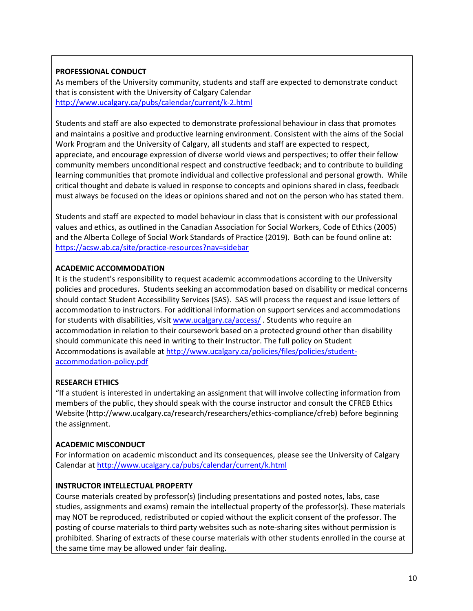## **PROFESSIONAL CONDUCT**

As members of the University community, students and staff are expected to demonstrate conduct that is consistent with the University of Calgary Calendar <http://www.ucalgary.ca/pubs/calendar/current/k-2.html>

Students and staff are also expected to demonstrate professional behaviour in class that promotes and maintains a positive and productive learning environment. Consistent with the aims of the Social Work Program and the University of Calgary, all students and staff are expected to respect, appreciate, and encourage expression of diverse world views and perspectives; to offer their fellow community members unconditional respect and constructive feedback; and to contribute to building learning communities that promote individual and collective professional and personal growth. While critical thought and debate is valued in response to concepts and opinions shared in class, feedback must always be focused on the ideas or opinions shared and not on the person who has stated them.

Students and staff are expected to model behaviour in class that is consistent with our professional values and ethics, as outlined in the Canadian Association for Social Workers, Code of Ethics (2005) and the Alberta College of Social Work Standards of Practice (2019). Both can be found online at: <https://acsw.ab.ca/site/practice-resources?nav=sidebar>

## **ACADEMIC ACCOMMODATION**

It is the student's responsibility to request academic accommodations according to the University policies and procedures. Students seeking an accommodation based on disability or medical concerns should contact Student Accessibility Services (SAS). SAS will process the request and issue letters of accommodation to instructors. For additional information on support services and accommodations for students with disabilities, visit [www.ucalgary.ca/access/](http://www.ucalgary.ca/access/) . Students who require an accommodation in relation to their coursework based on a protected ground other than disability should communicate this need in writing to their Instructor. The full policy on Student Accommodations is available at [http://www.ucalgary.ca/policies/files/policies/student](http://www.ucalgary.ca/policies/files/policies/student-accommodation-policy.pdf)[accommodation-policy.pdf](http://www.ucalgary.ca/policies/files/policies/student-accommodation-policy.pdf)

## **RESEARCH ETHICS**

"If a student is interested in undertaking an assignment that will involve collecting information from members of the public, they should speak with the course instructor and consult the CFREB Ethics Website [\(http://www.ucalgary.ca/research/researchers/ethics-compliance/cfreb\)](http://www.ucalgary.ca/research/researchers/ethics-compliance/cfreb) before beginning the assignment.

## **ACADEMIC MISCONDUCT**

For information on academic misconduct and its consequences, please see the University of Calgary Calendar a[t http://www.ucalgary.ca/pubs/calendar/current/k.html](http://www.ucalgary.ca/pubs/calendar/current/k.html)

## **INSTRUCTOR INTELLECTUAL PROPERTY**

Course materials created by professor(s) (including presentations and posted notes, labs, case studies, assignments and exams) remain the intellectual property of the professor(s). These materials may NOT be reproduced, redistributed or copied without the explicit consent of the professor. The posting of course materials to third party websites such as note-sharing sites without permission is prohibited. Sharing of extracts of these course materials with other students enrolled in the course at the same time may be allowed under fair dealing.